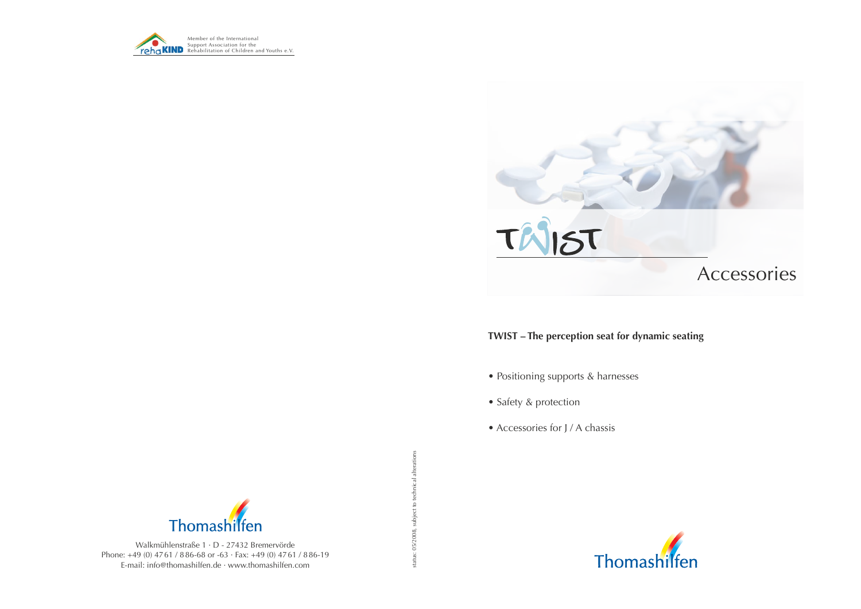status: 05/2008, subject to technical alterations status: 05/2008, subject to technical alterations



### **TWIST – The perception seat for dynamic seating**

- Positioning supports & harnesses
- Safety & protection
- Accessories for J / A chassis



Walkmühlenstraße 1 · D - 27432 Bremervörde Phone: +49 (0) 47 61 / 8 86-68 or -63 · Fax: +49 (0) 47 61 / 8 86-19 E-mail: info@thomashilfen.de · www.thomashilfen.com



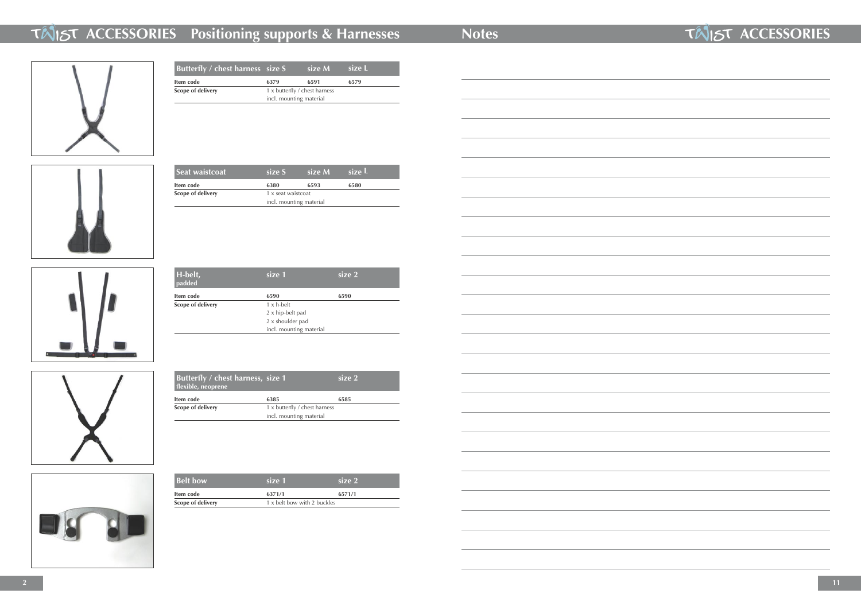## **ACCESSORIES Positioning supports & Harnesses Notes** *ACCESSORIES ACCESSORIES*



| Butterfly / chest harness size S |                               | size M | size L |
|----------------------------------|-------------------------------|--------|--------|
| Item code                        | 6379                          | 6591   | 6579   |
| <b>Scope of delivery</b>         | 1 x butterfly / chest harness |        |        |
|                                  | incl. mounting material       |        |        |
|                                  |                               |        |        |



| H-belt,<br>padded | size 1                  | size 2 |
|-------------------|-------------------------|--------|
| Item code         | 6590                    | 6590   |
| Scope of delivery | $1 \times h$ -belt      |        |
|                   | 2 x hip-belt pad        |        |
|                   | 2 x shoulder pad        |        |
|                   | incl. mounting material |        |



| Seat waistcoat           | size S                                        | size M | size L |  |
|--------------------------|-----------------------------------------------|--------|--------|--|
| Item code                | 6380                                          | 6593   | 6580   |  |
| <b>Scope of delivery</b> | 1 x seat waistcoat<br>incl. mounting material |        |        |  |
|                          |                                               |        |        |  |
|                          |                                               |        |        |  |



| <b>Belt bow</b>   | size 1                      | size 2 |
|-------------------|-----------------------------|--------|
| Item code         | 6371/1                      | 6571/1 |
| Scope of delivery | 1 x belt bow with 2 buckles |        |

| Butterfly / chest harness, size 1<br>flexible, neoprene |                               | size 2 |
|---------------------------------------------------------|-------------------------------|--------|
| Item code                                               | 6385                          | 6585   |
| Scope of delivery                                       | 1 x butterfly / chest harness |        |
|                                                         | incl. mounting material       |        |

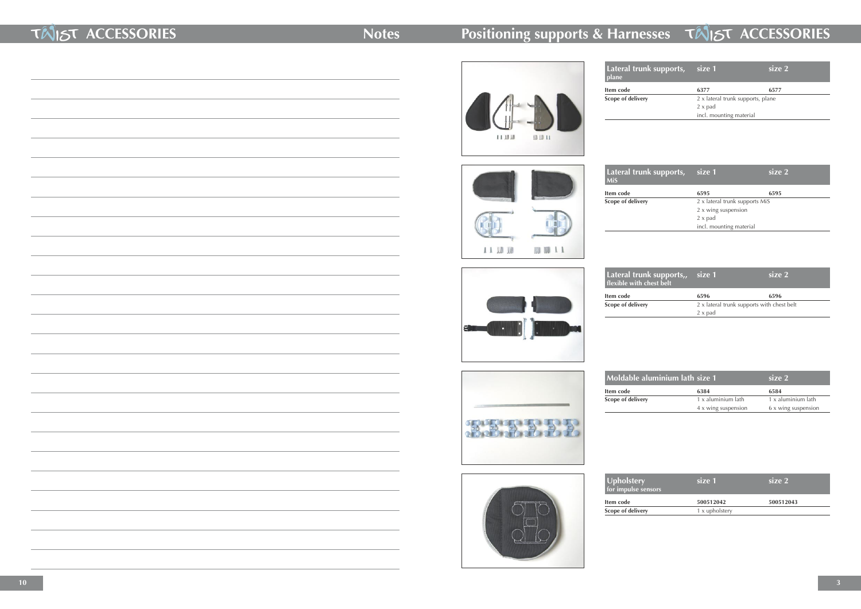### **TINST ACCESSORIES** Notes

### **Positioning supports & Harnesses TAIST ACCESSORIES**



 $11$   $10$   $10$ 

 $\blacksquare$ 

刷 顺 11

**Item code 6377 6577 Scope of delivery** 

| Lateral trunk supports,<br>plane | size 1                            | size 2 |
|----------------------------------|-----------------------------------|--------|
| tem code                         | 6377                              | 6577   |
| cope of delivery                 | 2 x lateral trunk supports, plane |        |
|                                  | $2 \times$ pad                    |        |
|                                  | incl. mounting material           |        |
|                                  |                                   |        |

**Lateral trunk MiS**

**Item code Scope of delivery** 



**Item code Scope of delivery** 

**Moldable alu** 

| Lateral trunk supports,,<br>flexible with chest belt | size 1                                     | size 2 |
|------------------------------------------------------|--------------------------------------------|--------|
| tem code                                             | 6596                                       | 6596   |
| cope of delivery                                     | 2 x lateral trunk supports with chest belt |        |
|                                                      | $2 \times$ pad                             |        |

**Item code 6384 6584 Scope of delivery** 

| size 2                         |
|--------------------------------|
| 6595                           |
| 2 x lateral trunk supports MiS |
|                                |
|                                |
|                                |
|                                |

| <b>Upholstery</b><br>for impulse sensors | size 1         | size 2    |  |
|------------------------------------------|----------------|-----------|--|
| tem code                                 | 500512042      | 500512043 |  |
| cope of delivery                         | 1 x upholstery |           |  |
|                                          |                |           |  |



**Item code Scope of delivery** 



第25章 七七七

| ıminium lath size 1 |                     | size 2              |
|---------------------|---------------------|---------------------|
|                     | 6384                | 6584                |
|                     | 1 x aluminium lath  | 1 x aluminium lath  |
|                     | 4 x wing suspension | 6 x wing suspension |
|                     |                     |                     |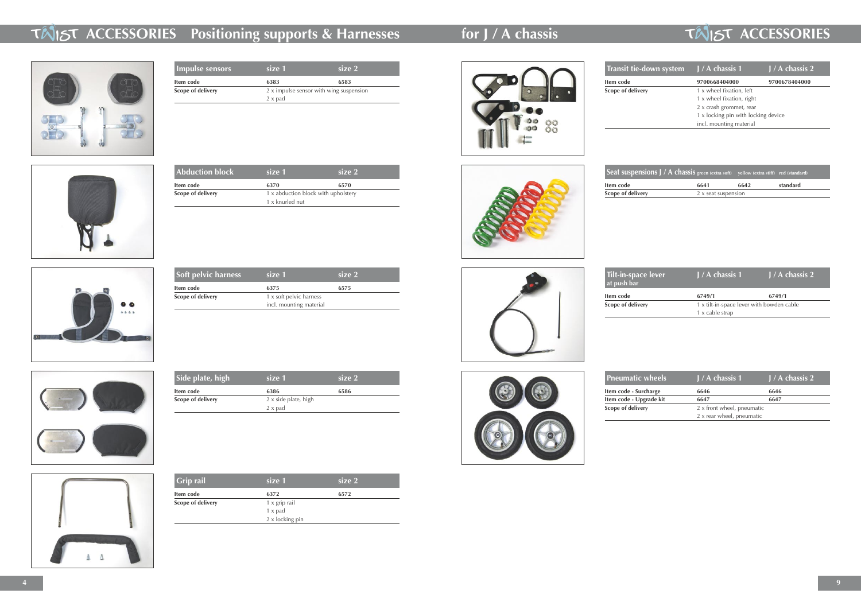**Abduction block size 1 size 2**

**Item code** 6370 **6370 6570 Scope of delivery** 1 x abduction block with upholstery



**Transit tie-do** 

**Item code Scope of delivery** 

1 x knurled nut



| Grip rail                | size 1                 | size 2 |  |
|--------------------------|------------------------|--------|--|
| Item code                | 6372                   | 6572   |  |
| <b>Scope of delivery</b> | $1 \times$ grip rail   |        |  |
|                          | $1 \times$ pad         |        |  |
|                          | $2 \times$ locking pin |        |  |
|                          |                        |        |  |





**Item code Scope of delivery** 

| Soft pelvic harness      | size 1                  | size 2 |
|--------------------------|-------------------------|--------|
| Item code                | 6375                    | 6575   |
| <b>Scope of delivery</b> | 1 x soft pelvic harness |        |
|                          | incl. mounting material |        |

| Side plate, high         | size 1                      | size 2 |  |
|--------------------------|-----------------------------|--------|--|
| Item code                | 6386                        | 6586   |  |
| <b>Scope of delivery</b> | $2 \times$ side plate, high |        |  |
|                          | 2 x pad                     |        |  |
|                          |                             |        |  |





**Item code Scope of delivery** 







**Pneumatic w Item code - Surcharge** 

**Item code - Upgrade Scope of delivery** 

### **for J / A chassis TAIST ACCESSORIES**

| Tilt-in-space lever<br>at push bar | $\vert$ J / A chassis 1                   | $J/A$ chassis 2 |
|------------------------------------|-------------------------------------------|-----------------|
| tem code                           | 6749/1                                    | 6749/1          |
| cope of delivery                   | 1 x tilt-in-space lever with bowden cable |                 |
|                                    | 1 x cable strap                           |                 |

| heels  | $J/A$ chassis 1            | $J/A$ chassis 2 |
|--------|----------------------------|-----------------|
| arge   | 6646                       | 6646            |
| de kit | 6647                       | 6647            |
|        | 2 x front wheel, pneumatic |                 |
|        | 2 x rear wheel, pneumatic  |                 |

### **THIST ACCESSORIES Positioning supports & Harnesses**



| <b>Impulse sensors</b>   | size 1         | size 2                                  |  |
|--------------------------|----------------|-----------------------------------------|--|
| Item code                | 6383           | 6583                                    |  |
| <b>Scope of delivery</b> |                | 2 x impulse sensor with wing suspension |  |
|                          | $2 \times$ pad |                                         |  |
|                          |                |                                         |  |

| wn system J/A chassis 1             | $\overline{J/A}$ chassis 2 |
|-------------------------------------|----------------------------|
| 9700668404000                       | 9700678404000              |
| 1 x wheel fixation, left            |                            |
| 1 x wheel fixation, right           |                            |
| 2 x crash grommet, rear             |                            |
| 1 x locking pin with locking device |                            |
| incl. mounting material             |                            |
|                                     |                            |

| ns J / A chassis green (extra soft) yellow (extra stiff) red (standard) |                     |      |          |
|-------------------------------------------------------------------------|---------------------|------|----------|
|                                                                         | 6641                | 6642 | standard |
|                                                                         | 2 x seat suspension |      |          |
|                                                                         |                     |      |          |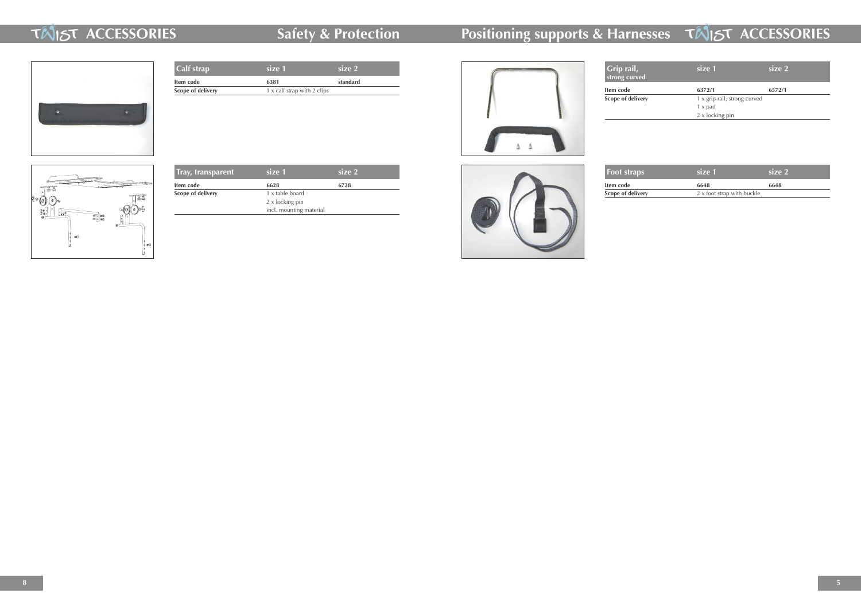### **TINST ACCESSORIES Safety & Protection**

# **Positioning supports & Harnesses TAIST ACCESSORIES**



| <b>Foot straps</b> | size 1                     | size 2 |
|--------------------|----------------------------|--------|
| Item code          | 6648                       | 6648   |
| Scope of delivery  | 2 x foot strap with buckle |        |

| Grip rail,<br>strong curved | size 1                       | size 2 |
|-----------------------------|------------------------------|--------|
| tem code                    | 6372/1                       | 6572/1 |
| cope of delivery            | 1 x grip rail, strong curved |        |
|                             | $1 \times$ pad               |        |
|                             | 2 x locking pin              |        |
|                             |                              |        |

| <b>Calf strap</b> | size 1                      | size 2   |
|-------------------|-----------------------------|----------|
| Item code         | 6381                        | standard |
| Scope of delivery | 1 x calf strap with 2 clips |          |
|                   |                             |          |
|                   |                             |          |
|                   |                             |          |
|                   |                             |          |



**Item code Scope of delivery** 



| Tray, transparent        | size 1                  | size 2 |  |
|--------------------------|-------------------------|--------|--|
| Item code                | 6628                    | 6728   |  |
| <b>Scope of delivery</b> | 1 x table board         |        |  |
|                          | 2 x locking pin         |        |  |
|                          | incl. mounting material |        |  |
|                          |                         |        |  |